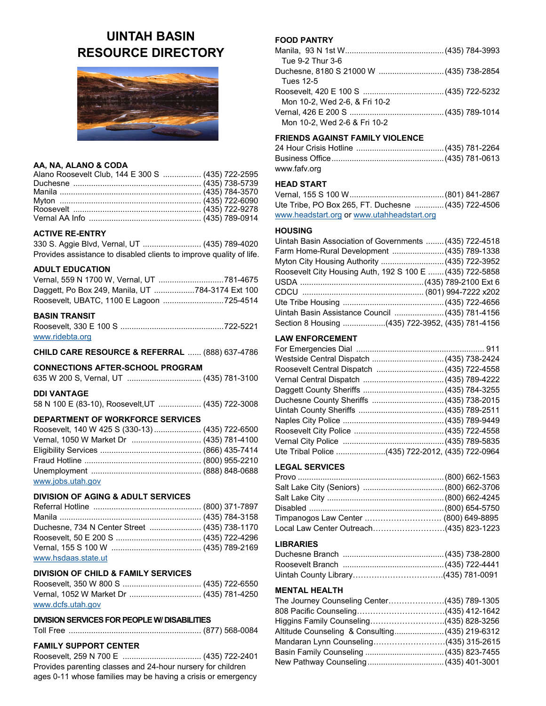# **UINTAH BASIN RESOURCE DIRECTORY**



## **AA, NA, ALANO & CODA**

| Alano Roosevelt Club, 144 E 300 S  (435) 722-2595 |  |
|---------------------------------------------------|--|
|                                                   |  |
|                                                   |  |
|                                                   |  |
|                                                   |  |
|                                                   |  |

### **ACTIVE RE-ENTRY**

330 S. Aggie Blvd, Vernal, UT .......................... (435) 789-4020 Provides assistance to disabled clients to improve quality of life.

## **ADULT EDUCATION**

| Daggett, Po Box 249, Manila, UT 784-3174 Ext 100 |  |
|--------------------------------------------------|--|
| Roosevelt, UBATC, 1100 E Lagoon 725-4514         |  |

## **BASIN TRANSIT**

| www.ridebta.org |  |
|-----------------|--|

#### **CHILD CARE RESOURCE & REFERRAL** ...... (888) 637-4786

## **CONNECTIONS AFTER-SCHOOL PROGRAM**

| 635 W 200 S, Vernal, UT  (435) 781-3100 |  |
|-----------------------------------------|--|
|                                         |  |

## **DDI VANTAGE**

58 N 100 E (83-10), Roosevelt,UT ................... (435) 722-3008

## **DEPARTMENT OF WORKFORCE SERVICES**

| Roosevelt, 140 W 425 S (330-13)  (435) 722-6500 |  |
|-------------------------------------------------|--|
| Vernal, 1050 W Market Dr  (435) 781-4100        |  |
|                                                 |  |
|                                                 |  |
|                                                 |  |
| www.jobs.utah.gov                               |  |

#### **DIVISION OF AGING & ADULT SERVICES**

| Duchesne, 734 N Center Street  (435) 738-1170 |  |
|-----------------------------------------------|--|
|                                               |  |
|                                               |  |
| www.hsdaas.state.ut                           |  |

## **DIVISION OF CHILD & FAMILY SERVICES**

Roosevelt, 350 W 800 S ................................... (435) 722-6550 Vernal, 1052 W Market Dr ................................ (435) 781-4250 [www.dcfs.utah.gov](http://www.dcfs.utah.gov)

## **DIVISION SERVICES FOR PEOPLE W/ DISABILITIES**

Toll Free ........................................................... (877) 568-0084

## **FAMILY SUPPORT CENTER**

Roosevelt, 259 N 700 E ................................... (435) 722-2401 Provides parenting classes and 24-hour nursery for children ages 0-11 whose families may be having a crisis or emergency

## **FOOD PANTRY**

| Tue 9-2 Thur 3-6              |  |
|-------------------------------|--|
|                               |  |
| Tues 12-5                     |  |
|                               |  |
| Mon 10-2, Wed 2-6, & Fri 10-2 |  |
|                               |  |
| Mon 10-2, Wed 2-6 & Fri 10-2  |  |
|                               |  |

## **FRIENDS AGAINST FAMILY VIOLENCE**

| www.fafv.org |  |
|--------------|--|

## **HEAD START**

| Ute Tribe, PO Box 265, FT. Duchesne  (435) 722-4506 |  |
|-----------------------------------------------------|--|
| www.headstart.org or www.utahheadstart.org          |  |

#### **HOUSING**

| Uintah Basin Association of Governments  (435) 722-4518  |  |
|----------------------------------------------------------|--|
| Farm Home-Rural Development  (435) 789-1338              |  |
| Myton City Housing Authority  (435) 722-3952             |  |
| Roosevelt City Housing Auth, 192 S 100 E  (435) 722-5858 |  |
|                                                          |  |
|                                                          |  |
|                                                          |  |
| Uintah Basin Assistance Council  (435) 781-4156          |  |
| Section 8 Housing (435) 722-3952, (435) 781-4156         |  |

## **LAW ENFORCEMENT**

| Westside Central Dispatch  (435) 738-2424        |
|--------------------------------------------------|
| Roosevelt Central Dispatch  (435) 722-4558       |
|                                                  |
|                                                  |
| Duchesne County Sheriffs  (435) 738-2015         |
|                                                  |
|                                                  |
|                                                  |
|                                                  |
| Ute Tribal Police (435) 722-2012, (435) 722-0964 |
|                                                  |

## **LEGAL SERVICES**

| Timpanogos Law Center  (800) 649-8895   |  |
|-----------------------------------------|--|
| Local Law Center Outreach(435) 823-1223 |  |

#### **LIBRARIES**

| Uintah County Library……………………………(435) 781-0091 |  |
|------------------------------------------------|--|

## **MENTAL HEALTH**

| The Journey Counseling Center(435) 789-1305     |  |
|-------------------------------------------------|--|
|                                                 |  |
| Higgins Family Counseling(435) 828-3256         |  |
| Altitude Counseling & Consulting (435) 219-6312 |  |
| Mandaran Lynn Counseling(435) 315-2615          |  |
|                                                 |  |
|                                                 |  |
|                                                 |  |